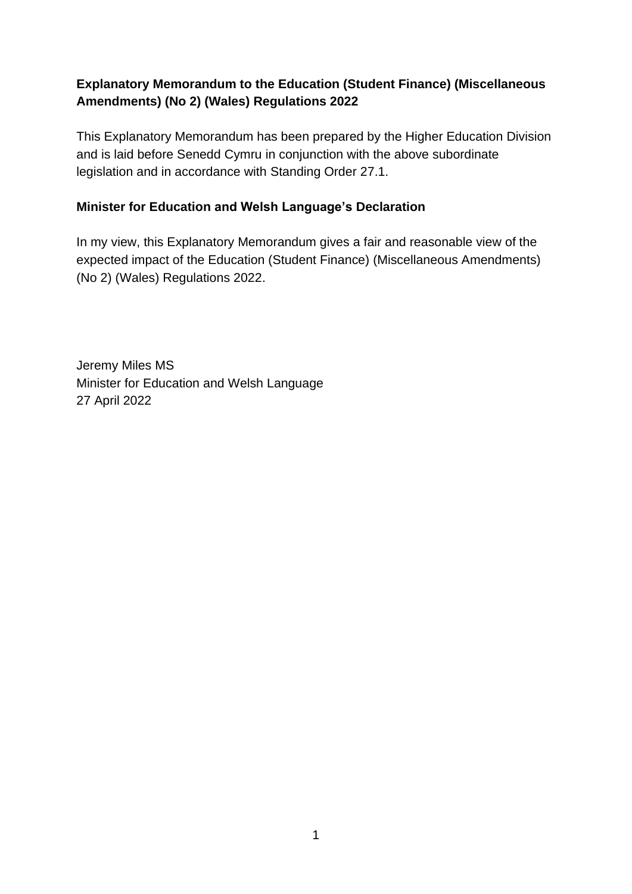## **Explanatory Memorandum to the Education (Student Finance) (Miscellaneous Amendments) (No 2) (Wales) Regulations 2022**

This Explanatory Memorandum has been prepared by the Higher Education Division and is laid before Senedd Cymru in conjunction with the above subordinate legislation and in accordance with Standing Order 27.1.

#### **Minister for Education and Welsh Language's Declaration**

In my view, this Explanatory Memorandum gives a fair and reasonable view of the expected impact of the Education (Student Finance) (Miscellaneous Amendments) (No 2) (Wales) Regulations 2022.

Jeremy Miles MS Minister for Education and Welsh Language 27 April 2022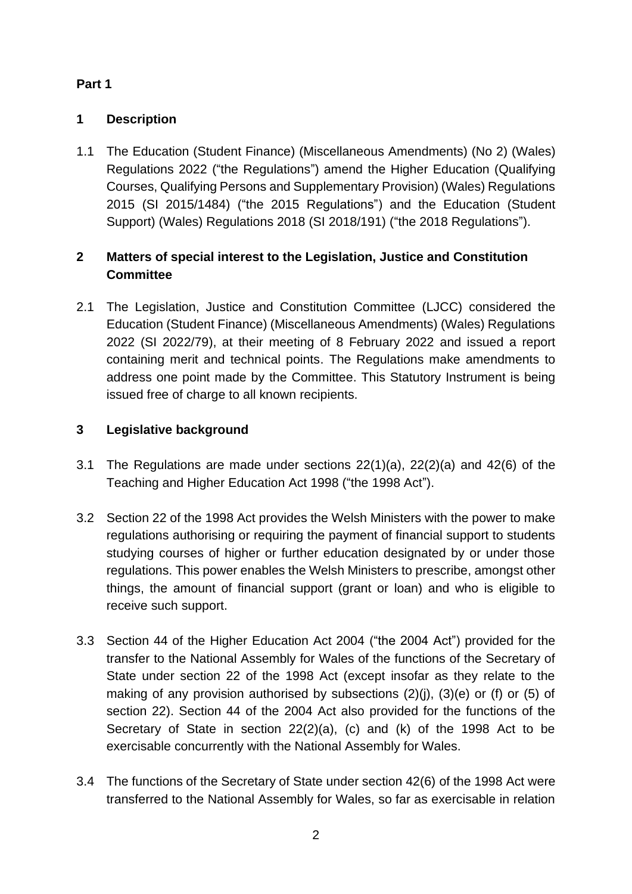## **Part 1**

## **1 Description**

1.1 The Education (Student Finance) (Miscellaneous Amendments) (No 2) (Wales) Regulations 2022 ("the Regulations") amend the Higher Education (Qualifying Courses, Qualifying Persons and Supplementary Provision) (Wales) Regulations 2015 (SI 2015/1484) ("the 2015 Regulations") and the Education (Student Support) (Wales) Regulations 2018 (SI 2018/191) ("the 2018 Regulations").

# **2 Matters of special interest to the Legislation, Justice and Constitution Committee**

2.1 The Legislation, Justice and Constitution Committee (LJCC) considered the Education (Student Finance) (Miscellaneous Amendments) (Wales) Regulations 2022 (SI 2022/79), at their meeting of 8 February 2022 and issued a report containing merit and technical points. The Regulations make amendments to address one point made by the Committee. This Statutory Instrument is being issued free of charge to all known recipients.

# **3 Legislative background**

- 3.1 The Regulations are made under sections 22(1)(a), 22(2)(a) and 42(6) of the Teaching and Higher Education Act 1998 ("the 1998 Act").
- 3.2 Section 22 of the 1998 Act provides the Welsh Ministers with the power to make regulations authorising or requiring the payment of financial support to students studying courses of higher or further education designated by or under those regulations. This power enables the Welsh Ministers to prescribe, amongst other things, the amount of financial support (grant or loan) and who is eligible to receive such support.
- 3.3 Section 44 of the Higher Education Act 2004 ("the 2004 Act") provided for the transfer to the National Assembly for Wales of the functions of the Secretary of State under section 22 of the 1998 Act (except insofar as they relate to the making of any provision authorised by subsections (2)(j), (3)(e) or (f) or (5) of section 22). Section 44 of the 2004 Act also provided for the functions of the Secretary of State in section 22(2)(a), (c) and (k) of the 1998 Act to be exercisable concurrently with the National Assembly for Wales.
- 3.4 The functions of the Secretary of State under section 42(6) of the 1998 Act were transferred to the National Assembly for Wales, so far as exercisable in relation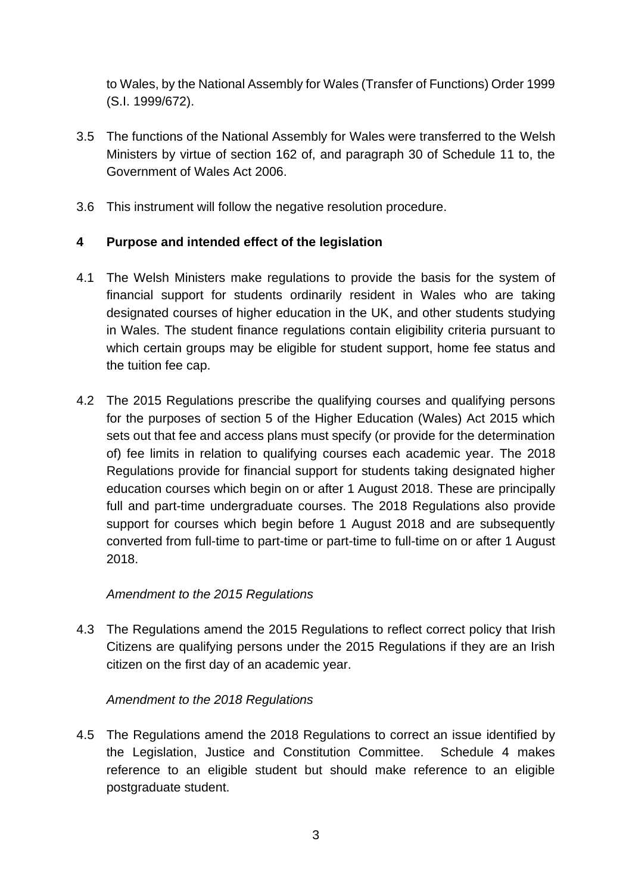to Wales, by the National Assembly for Wales (Transfer of Functions) Order 1999 (S.I. 1999/672).

- 3.5 The functions of the National Assembly for Wales were transferred to the Welsh Ministers by virtue of section 162 of, and paragraph 30 of Schedule 11 to, the Government of Wales Act 2006.
- 3.6 This instrument will follow the negative resolution procedure.

### **4 Purpose and intended effect of the legislation**

- 4.1 The Welsh Ministers make regulations to provide the basis for the system of financial support for students ordinarily resident in Wales who are taking designated courses of higher education in the UK, and other students studying in Wales. The student finance regulations contain eligibility criteria pursuant to which certain groups may be eligible for student support, home fee status and the tuition fee cap.
- 4.2 The 2015 Regulations prescribe the qualifying courses and qualifying persons for the purposes of section 5 of the Higher Education (Wales) Act 2015 which sets out that fee and access plans must specify (or provide for the determination of) fee limits in relation to qualifying courses each academic year. The 2018 Regulations provide for financial support for students taking designated higher education courses which begin on or after 1 August 2018. These are principally full and part-time undergraduate courses. The 2018 Regulations also provide support for courses which begin before 1 August 2018 and are subsequently converted from full-time to part-time or part-time to full-time on or after 1 August 2018.

#### *Amendment to the 2015 Regulations*

4.3 The Regulations amend the 2015 Regulations to reflect correct policy that Irish Citizens are qualifying persons under the 2015 Regulations if they are an Irish citizen on the first day of an academic year.

#### *Amendment to the 2018 Regulations*

4.5 The Regulations amend the 2018 Regulations to correct an issue identified by the Legislation, Justice and Constitution Committee. Schedule 4 makes reference to an eligible student but should make reference to an eligible postgraduate student.